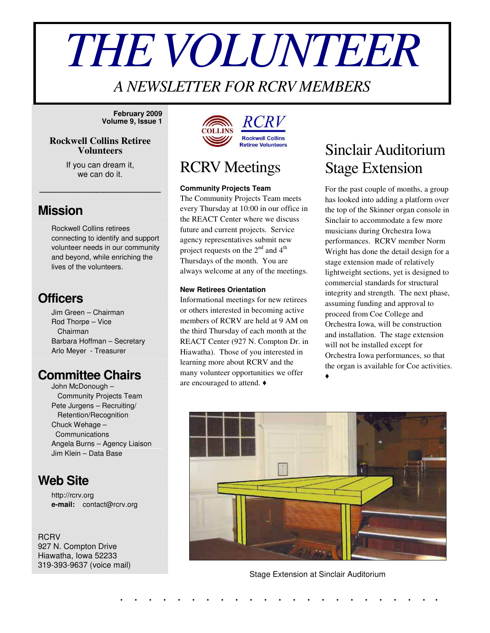# *THEVOLUNTEER*

### *A NEWSLETTER FOR RCRV MEMBERS*

**February 2009 Volume 9, Issue 1**

#### **Rockwell Collins Retiree Volunteers**

If you can dream it, we can do it.

\_\_\_\_\_\_\_\_\_\_\_\_\_\_\_\_\_

#### **Mission**

Rockwell Collins retirees connecting to identify and support volunteer needs in our community and beyond, while enriching the lives of the volunteers.

#### **Officers**

Jim Green – Chairman Rod Thorpe – Vice Chairman Barbara Hoffman – Secretary Arlo Meyer - Treasurer

#### **Committee Chairs**

John McDonough – Community Projects Team Pete Jurgens – Recruiting/ Retention/Recognition Chuck Wehage – Communications Angela Burns – Agency Liaison Jim Klein – Data Base

#### **Web Site**

http://rcrv.org **e-mail:** contact@rcrv.org

**RCRV** 927 N. Compton Drive Hiawatha, Iowa 52233 319-393-9637 (voice mail)



## RCRV Meetings

#### **Community Projects Team**

The Community Projects Team meets every Thursday at 10:00 in our office in the REACT Center where we discuss future and current projects. Service agency representatives submit new project requests on the  $2^{nd}$  and  $4^{th}$ Thursdays of the month. You are always welcome at any of the meetings.

#### **New Retirees Orientation**

Informational meetings for new retirees or others interested in becoming active members of RCRV are held at 9 AM on the third Thursday of each month at the REACT Center (927 N. Compton Dr. in Hiawatha). Those of you interested in learning more about RCRV and the many volunteer opportunities we offer are encouraged to attend.

## Sinclair Auditorium Stage Extension

For the past couple of months, a group has looked into adding a platform over the top of the Skinner organ console in Sinclair to accommodate a few more musicians during Orchestra Iowa performances. RCRV member Norm Wright has done the detail design for a stage extension made of relatively lightweight sections, yet is designed to commercial standards for structural integrity and strength. The next phase, assuming funding and approval to proceed from Coe College and Orchestra Iowa, will be construction and installation. The stage extension will not be installed except for Orchestra Iowa performances, so that the organ is available for Coe activities. ♦



Stage Extension at Sinclair Auditorium

. . . . . . . . . . . . . . . . . . . . . . .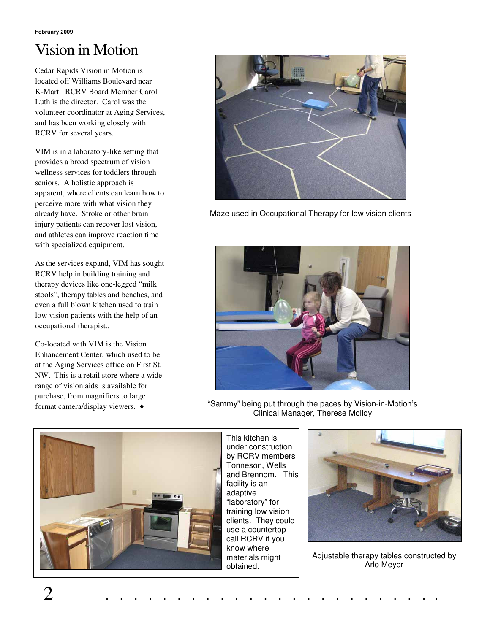# Vision in Motion

Cedar Rapids Vision in Motion is located off Williams Boulevard near K-Mart. RCRV Board Member Carol Luth is the director. Carol was the volunteer coordinator at Aging Services, and has been working closely with RCRV for several years.

VIM is in a laboratory-like setting that provides a broad spectrum of vision wellness services for toddlers through seniors. A holistic approach is apparent, where clients can learn how to perceive more with what vision they already have. Stroke or other brain injury patients can recover lost vision, and athletes can improve reaction time with specialized equipment.

As the services expand, VIM has sought RCRV help in building training and therapy devices like one-legged "milk stools", therapy tables and benches, and even a full blown kitchen used to train low vision patients with the help of an occupational therapist..

Co-located with VIM is the Vision Enhancement Center, which used to be at the Aging Services office on First St. NW. This is a retail store where a wide range of vision aids is available for purchase, from magnifiers to large format camera/display viewers.



Maze used in Occupational Therapy for low vision clients



"Sammy" being put through the paces by Vision-in-Motion's Clinical Manager, Therese Molloy



This kitchen is under construction by RCRV members Tonneson, Wells and Brennom. This facility is an adaptive "laboratory" for training low vision clients. They could use a countertop – call RCRV if you know where materials might obtained.



Adjustable therapy tables constructed by Arlo Meyer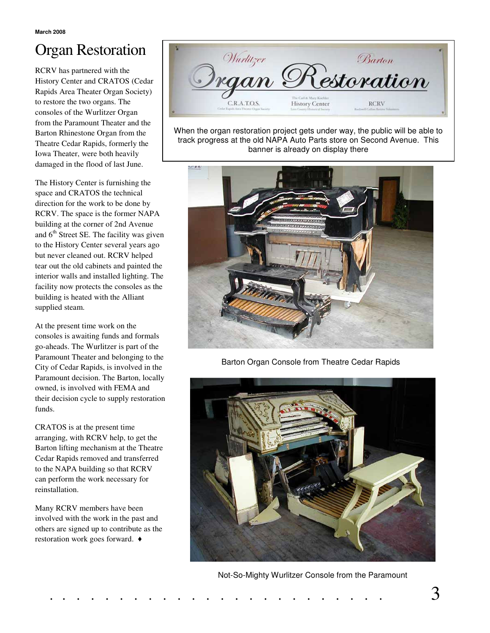# Organ Restoration

RCRV has partnered with the History Center and CRATOS (Cedar Rapids Area Theater Organ Society) to restore the two organs. The consoles of the Wurlitzer Organ from the Paramount Theater and the Barton Rhinestone Organ from the Theatre Cedar Rapids, formerly the Iowa Theater, were both heavily damaged in the flood of last June.

The History Center is furnishing the space and CRATOS the technical direction for the work to be done by RCRV. The space is the former NAPA building at the corner of 2nd Avenue and 6<sup>th</sup> Street SE. The facility was given to the History Center several years ago but never cleaned out. RCRV helped tear out the old cabinets and painted the interior walls and installed lighting. The facility now protects the consoles as the building is heated with the Alliant supplied steam.

At the present time work on the consoles is awaiting funds and formals go-aheads. The Wurlitzer is part of the Paramount Theater and belonging to the City of Cedar Rapids, is involved in the Paramount decision. The Barton, locally owned, is involved with FEMA and their decision cycle to supply restoration funds.

CRATOS is at the present time arranging, with RCRV help, to get the Barton lifting mechanism at the Theatre Cedar Rapids removed and transferred to the NAPA building so that RCRV can perform the work necessary for reinstallation.

Many RCRV members have been involved with the work in the past and others are signed up to contribute as the restoration work goes forward.



When the organ restoration project gets under way, the public will be able to track progress at the old NAPA Auto Parts store on Second Avenue. This banner is already on display there



Barton Organ Console from Theatre Cedar Rapids



Not-So-Mighty Wurlitzer Console from the Paramount